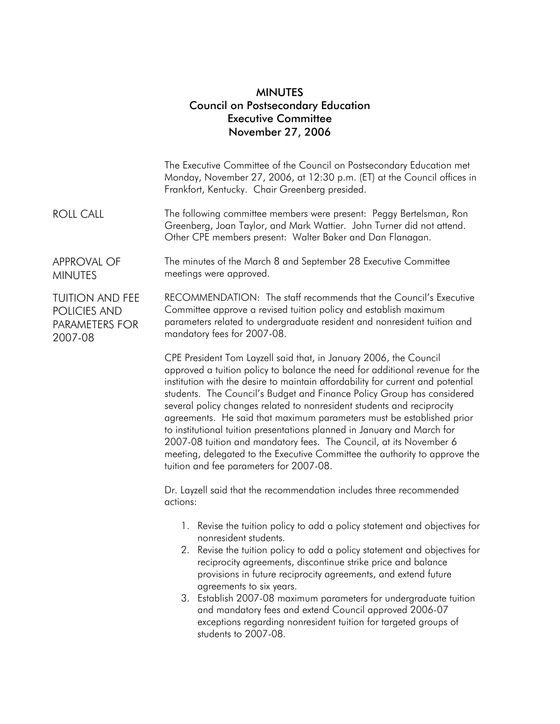## MINUTES Council on Postsecondary Education Executive Committee November 27, 2006

|                                                                     | The Executive Committee of the Council on Postsecondary Education met<br>Monday, November 27, 2006, at 12:30 p.m. (ET) at the Council offices in<br>Frankfort, Kentucky. Chair Greenberg presided.                                                                                                                                                                                                                                                                                                                                                                                                                                                                                                                                          |
|---------------------------------------------------------------------|---------------------------------------------------------------------------------------------------------------------------------------------------------------------------------------------------------------------------------------------------------------------------------------------------------------------------------------------------------------------------------------------------------------------------------------------------------------------------------------------------------------------------------------------------------------------------------------------------------------------------------------------------------------------------------------------------------------------------------------------|
| <b>ROLL CALL</b>                                                    | The following committee members were present: Peggy Bertelsman, Ron<br>Greenberg, Joan Taylor, and Mark Wattier. John Turner did not attend.<br>Other CPE members present: Walter Baker and Dan Flanagan.                                                                                                                                                                                                                                                                                                                                                                                                                                                                                                                                   |
| <b>APPROVAL OF</b><br><b>MINUTES</b>                                | The minutes of the March 8 and September 28 Executive Committee<br>meetings were approved.                                                                                                                                                                                                                                                                                                                                                                                                                                                                                                                                                                                                                                                  |
| <b>TUITION AND FEE</b><br>POLICIES AND<br>PARAMETERS FOR<br>2007-08 | RECOMMENDATION: The staff recommends that the Council's Executive<br>Committee approve a revised tuition policy and establish maximum<br>parameters related to undergraduate resident and nonresident tuition and<br>mandatory fees for 2007-08.                                                                                                                                                                                                                                                                                                                                                                                                                                                                                            |
|                                                                     | CPE President Tom Layzell said that, in January 2006, the Council<br>approved a tuition policy to balance the need for additional revenue for the<br>institution with the desire to maintain affordability for current and potential<br>students. The Council's Budget and Finance Policy Group has considered<br>several policy changes related to nonresident students and reciprocity<br>agreements. He said that maximum parameters must be established prior<br>to institutional tuition presentations planned in January and March for<br>2007-08 tuition and mandatory fees. The Council, at its November 6<br>meeting, delegated to the Executive Committee the authority to approve the<br>tuition and fee parameters for 2007-08. |
|                                                                     | Dr. Layzell said that the recommendation includes three recommended<br>actions:                                                                                                                                                                                                                                                                                                                                                                                                                                                                                                                                                                                                                                                             |
|                                                                     | 1. Revise the tuition policy to add a policy statement and objectives for<br>nonresident students.<br>Revise the tuition policy to add a policy statement and objectives for<br>2.<br>reciprocity agreements, discontinue strike price and balance<br>provisions in future reciprocity agreements, and extend future<br>agreements to six years.<br>3. Establish 2007-08 maximum parameters for undergraduate tuition<br>and mandatory fees and extend Council approved 2006-07<br>exceptions regarding nonresident tuition for targeted groups of<br>students to 2007-08.                                                                                                                                                                  |
|                                                                     |                                                                                                                                                                                                                                                                                                                                                                                                                                                                                                                                                                                                                                                                                                                                             |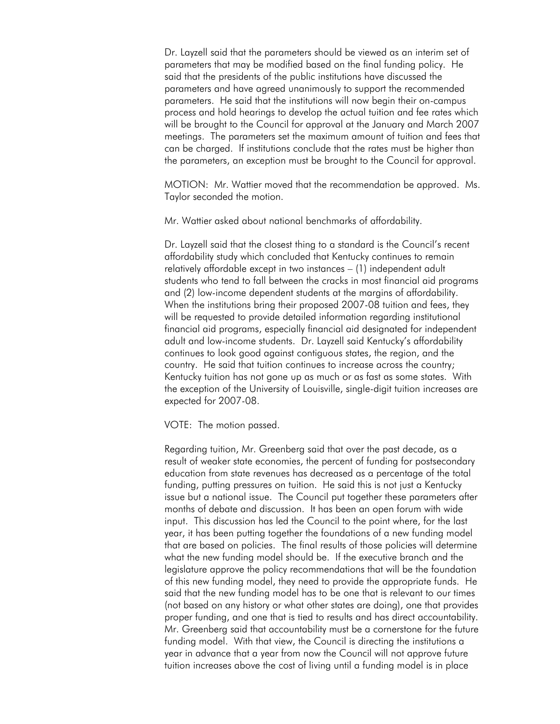Dr. Layzell said that the parameters should be viewed as an interim set of parameters that may be modified based on the final funding policy. He said that the presidents of the public institutions have discussed the parameters and have agreed unanimously to support the recommended parameters. He said that the institutions will now begin their on-campus process and hold hearings to develop the actual tuition and fee rates which will be brought to the Council for approval at the January and March 2007 meetings. The parameters set the maximum amount of tuition and fees that can be charged. If institutions conclude that the rates must be higher than the parameters, an exception must be brought to the Council for approval.

MOTION: Mr. Wattier moved that the recommendation be approved. Ms. Taylor seconded the motion.

Mr. Wattier asked about national benchmarks of affordability.

Dr. Layzell said that the closest thing to a standard is the Council's recent affordability study which concluded that Kentucky continues to remain relatively affordable except in two instances – (1) independent adult students who tend to fall between the cracks in most financial aid programs and (2) low-income dependent students at the margins of affordability. When the institutions bring their proposed 2007-08 tuition and fees, they will be requested to provide detailed information regarding institutional financial aid programs, especially financial aid designated for independent adult and low-income students. Dr. Layzell said Kentucky's affordability continues to look good against contiguous states, the region, and the country. He said that tuition continues to increase across the country; Kentucky tuition has not gone up as much or as fast as some states. With the exception of the University of Louisville, single-digit tuition increases are expected for 2007-08.

VOTE: The motion passed.

Regarding tuition, Mr. Greenberg said that over the past decade, as a result of weaker state economies, the percent of funding for postsecondary education from state revenues has decreased as a percentage of the total funding, putting pressures on tuition. He said this is not just a Kentucky issue but a national issue. The Council put together these parameters after months of debate and discussion. It has been an open forum with wide input. This discussion has led the Council to the point where, for the last year, it has been putting together the foundations of a new funding model that are based on policies. The final results of those policies will determine what the new funding model should be. If the executive branch and the legislature approve the policy recommendations that will be the foundation of this new funding model, they need to provide the appropriate funds. He said that the new funding model has to be one that is relevant to our times (not based on any history or what other states are doing), one that provides proper funding, and one that is tied to results and has direct accountability. Mr. Greenberg said that accountability must be a cornerstone for the future funding model. With that view, the Council is directing the institutions a year in advance that a year from now the Council will not approve future tuition increases above the cost of living until a funding model is in place